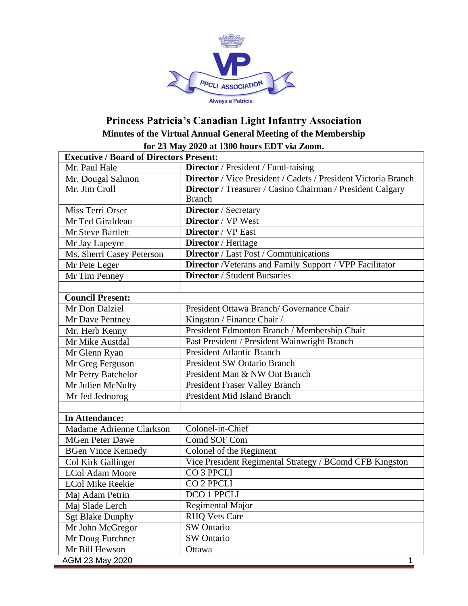

## **Princess Patricia's Canadian Light Infantry Association Minutes of the Virtual Annual General Meeting of the Membership for 23 May 2020 at 1300 hours EDT via Zoom.**

| <b>Executive / Board of Directors Present:</b> |                                                                |  |
|------------------------------------------------|----------------------------------------------------------------|--|
| Mr. Paul Hale                                  | Director / President / Fund-raising                            |  |
| Mr. Dougal Salmon                              | Director / Vice President / Cadets / President Victoria Branch |  |
| Mr. Jim Croll                                  | Director / Treasurer / Casino Chairman / President Calgary     |  |
|                                                | <b>Branch</b>                                                  |  |
| Miss Terri Orser                               | Director / Secretary                                           |  |
| Mr Ted Giraldeau                               | Director / VP West                                             |  |
| Mr Steve Bartlett                              | Director / VP East                                             |  |
| Mr Jay Lapeyre                                 | Director / Heritage                                            |  |
| Ms. Sherri Casey Peterson                      | Director / Last Post / Communications                          |  |
| Mr Pete Leger                                  | Director /Veterans and Family Support / VPP Facilitator        |  |
| Mr Tim Penney                                  | <b>Director / Student Bursaries</b>                            |  |
|                                                |                                                                |  |
| <b>Council Present:</b>                        |                                                                |  |
| Mr Don Dalziel                                 | President Ottawa Branch/ Governance Chair                      |  |
| Mr Dave Pentney                                | Kingston / Finance Chair /                                     |  |
| Mr. Herb Kenny                                 | President Edmonton Branch / Membership Chair                   |  |
| Mr Mike Austdal                                | Past President / President Wainwright Branch                   |  |
| Mr Glenn Ryan                                  | <b>President Atlantic Branch</b>                               |  |
| Mr Greg Ferguson                               | President SW Ontario Branch                                    |  |
| Mr Perry Batchelor                             | President Man & NW Ont Branch                                  |  |
| Mr Julien McNulty                              | President Fraser Valley Branch                                 |  |
| Mr Jed Jednorog                                | President Mid Island Branch                                    |  |
|                                                |                                                                |  |
| <b>In Attendance:</b>                          |                                                                |  |
| Madame Adrienne Clarkson                       | Colonel-in-Chief                                               |  |
| <b>MGen Peter Dawe</b>                         | Comd SOF Com                                                   |  |
| <b>BGen Vince Kennedy</b>                      | Colonel of the Regiment                                        |  |
| Col Kirk Gallinger                             | Vice President Regimental Strategy / BComd CFB Kingston        |  |
| <b>LCol Adam Moore</b>                         | CO <sub>3</sub> PPCLI                                          |  |
| <b>LCol Mike Reekie</b>                        | CO <sub>2</sub> PPCLI                                          |  |
| Maj Adam Petrin                                | <b>DCO 1 PPCLI</b>                                             |  |
| Maj Slade Lerch                                | Regimental Major                                               |  |
| <b>Sgt Blake Dunphy</b>                        | <b>RHQ Vets Care</b>                                           |  |
| Mr John McGregor                               | SW Ontario                                                     |  |
| Mr Doug Furchner                               | SW Ontario                                                     |  |
| Mr Bill Hewson                                 | Ottawa                                                         |  |
| AGM 23 May 2020                                | 1                                                              |  |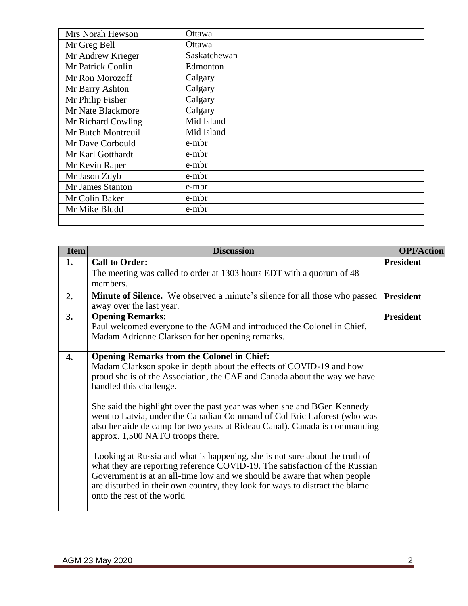| Mrs Norah Hewson   | Ottawa        |
|--------------------|---------------|
| Mr Greg Bell       | <b>Ottawa</b> |
| Mr Andrew Krieger  | Saskatchewan  |
| Mr Patrick Conlin  | Edmonton      |
| Mr Ron Morozoff    | Calgary       |
| Mr Barry Ashton    | Calgary       |
| Mr Philip Fisher   | Calgary       |
| Mr Nate Blackmore  | Calgary       |
| Mr Richard Cowling | Mid Island    |
| Mr Butch Montreuil | Mid Island    |
| Mr Dave Corbould   | e-mbr         |
| Mr Karl Gotthardt  | e-mbr         |
| Mr Kevin Raper     | e-mbr         |
| Mr Jason Zdyb      | e-mbr         |
| Mr James Stanton   | e-mbr         |
| Mr Colin Baker     | e-mbr         |
| Mr Mike Bludd      | e-mbr         |
|                    |               |

| <b>Item</b> | <b>Discussion</b>                                                                                                                                                                                                                                                                                                                                    | <b>OPI/Action</b> |
|-------------|------------------------------------------------------------------------------------------------------------------------------------------------------------------------------------------------------------------------------------------------------------------------------------------------------------------------------------------------------|-------------------|
| 1.          | <b>Call to Order:</b>                                                                                                                                                                                                                                                                                                                                | <b>President</b>  |
|             | The meeting was called to order at 1303 hours EDT with a quorum of 48                                                                                                                                                                                                                                                                                |                   |
|             | members.                                                                                                                                                                                                                                                                                                                                             |                   |
| 2.          | Minute of Silence. We observed a minute's silence for all those who passed                                                                                                                                                                                                                                                                           | <b>President</b>  |
|             | away over the last year.                                                                                                                                                                                                                                                                                                                             |                   |
| 3.          | <b>Opening Remarks:</b>                                                                                                                                                                                                                                                                                                                              | <b>President</b>  |
|             | Paul welcomed everyone to the AGM and introduced the Colonel in Chief,<br>Madam Adrienne Clarkson for her opening remarks.                                                                                                                                                                                                                           |                   |
| 4.          | <b>Opening Remarks from the Colonel in Chief:</b><br>Madam Clarkson spoke in depth about the effects of COVID-19 and how<br>proud she is of the Association, the CAF and Canada about the way we have<br>handled this challenge.                                                                                                                     |                   |
|             | She said the highlight over the past year was when she and BGen Kennedy<br>went to Latvia, under the Canadian Command of Col Eric Laforest (who was<br>also her aide de camp for two years at Rideau Canal). Canada is commanding<br>approx. 1,500 NATO troops there.                                                                                |                   |
|             | Looking at Russia and what is happening, she is not sure about the truth of<br>what they are reporting reference COVID-19. The satisfaction of the Russian<br>Government is at an all-time low and we should be aware that when people<br>are disturbed in their own country, they look for ways to distract the blame<br>onto the rest of the world |                   |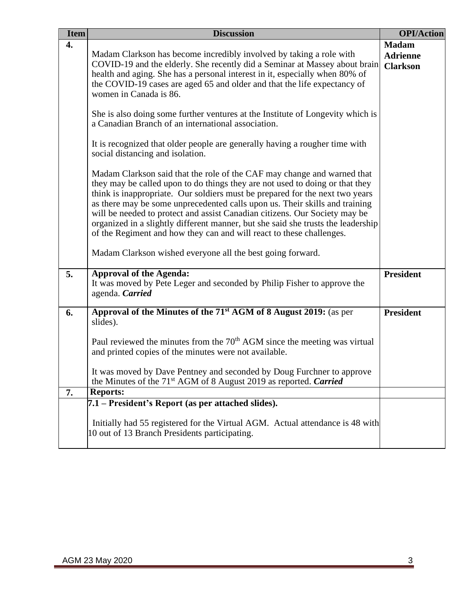| <b>Item</b> | <b>Discussion</b>                                                                                                                                                                                                                                                                                                                                                                                                                                                                                                                                                                                                                                                                                                                                                                                                                                                                                                                                                                                                                                                                                                                                                                                                                   | <b>OPI/Action</b>                                  |
|-------------|-------------------------------------------------------------------------------------------------------------------------------------------------------------------------------------------------------------------------------------------------------------------------------------------------------------------------------------------------------------------------------------------------------------------------------------------------------------------------------------------------------------------------------------------------------------------------------------------------------------------------------------------------------------------------------------------------------------------------------------------------------------------------------------------------------------------------------------------------------------------------------------------------------------------------------------------------------------------------------------------------------------------------------------------------------------------------------------------------------------------------------------------------------------------------------------------------------------------------------------|----------------------------------------------------|
| 4.          | Madam Clarkson has become incredibly involved by taking a role with<br>COVID-19 and the elderly. She recently did a Seminar at Massey about brain<br>health and aging. She has a personal interest in it, especially when 80% of<br>the COVID-19 cases are aged 65 and older and that the life expectancy of<br>women in Canada is 86.<br>She is also doing some further ventures at the Institute of Longevity which is<br>a Canadian Branch of an international association.<br>It is recognized that older people are generally having a rougher time with<br>social distancing and isolation.<br>Madam Clarkson said that the role of the CAF may change and warned that<br>they may be called upon to do things they are not used to doing or that they<br>think is inappropriate. Our soldiers must be prepared for the next two years<br>as there may be some unprecedented calls upon us. Their skills and training<br>will be needed to protect and assist Canadian citizens. Our Society may be<br>organized in a slightly different manner, but she said she trusts the leadership<br>of the Regiment and how they can and will react to these challenges.<br>Madam Clarkson wished everyone all the best going forward. | <b>Madam</b><br><b>Adrienne</b><br><b>Clarkson</b> |
| 5.          | <b>Approval of the Agenda:</b><br>It was moved by Pete Leger and seconded by Philip Fisher to approve the<br>agenda. Carried                                                                                                                                                                                                                                                                                                                                                                                                                                                                                                                                                                                                                                                                                                                                                                                                                                                                                                                                                                                                                                                                                                        | <b>President</b>                                   |
| 6.          | Approval of the Minutes of the 71 <sup>st</sup> AGM of 8 August 2019: (as per<br>slides).<br>Paul reviewed the minutes from the 70 <sup>th</sup> AGM since the meeting was virtual<br>and printed copies of the minutes were not available.<br>It was moved by Dave Pentney and seconded by Doug Furchner to approve<br>the Minutes of the $71st$ AGM of 8 August 2019 as reported. <i>Carried</i>                                                                                                                                                                                                                                                                                                                                                                                                                                                                                                                                                                                                                                                                                                                                                                                                                                  | <b>President</b>                                   |
| 7.          | <b>Reports:</b>                                                                                                                                                                                                                                                                                                                                                                                                                                                                                                                                                                                                                                                                                                                                                                                                                                                                                                                                                                                                                                                                                                                                                                                                                     |                                                    |
|             | 7.1 – President's Report (as per attached slides).<br>Initially had 55 registered for the Virtual AGM. Actual attendance is 48 with<br>10 out of 13 Branch Presidents participating.                                                                                                                                                                                                                                                                                                                                                                                                                                                                                                                                                                                                                                                                                                                                                                                                                                                                                                                                                                                                                                                |                                                    |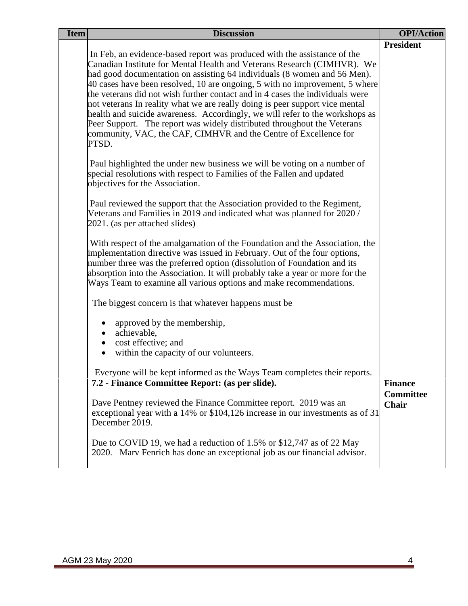| <b>Item</b> | <b>Discussion</b>                                                                                                                                                                                                                                                                                                                                                                                                                                                                                                                                                                                                                                                                                                                                                                                                                                                             | <b>OPI/Action</b>                           |
|-------------|-------------------------------------------------------------------------------------------------------------------------------------------------------------------------------------------------------------------------------------------------------------------------------------------------------------------------------------------------------------------------------------------------------------------------------------------------------------------------------------------------------------------------------------------------------------------------------------------------------------------------------------------------------------------------------------------------------------------------------------------------------------------------------------------------------------------------------------------------------------------------------|---------------------------------------------|
|             | In Feb, an evidence-based report was produced with the assistance of the<br>Canadian Institute for Mental Health and Veterans Research (CIMHVR). We<br>had good documentation on assisting 64 individuals (8 women and 56 Men).<br>40 cases have been resolved, 10 are ongoing, 5 with no improvement, 5 where<br>the veterans did not wish further contact and in 4 cases the individuals were<br>not veterans In reality what we are really doing is peer support vice mental<br>health and suicide awareness. Accordingly, we will refer to the workshops as<br>Peer Support. The report was widely distributed throughout the Veterans<br>community, VAC, the CAF, CIMHVR and the Centre of Excellence for<br>PTSD.<br>Paul highlighted the under new business we will be voting on a number of<br>special resolutions with respect to Families of the Fallen and updated | <b>President</b>                            |
|             | objectives for the Association.<br>Paul reviewed the support that the Association provided to the Regiment,<br>Veterans and Families in 2019 and indicated what was planned for 2020/<br>2021. (as per attached slides)<br>With respect of the amalgamation of the Foundation and the Association, the<br>implementation directive was issued in February. Out of the four options,<br>number three was the preferred option (dissolution of Foundation and its<br>absorption into the Association. It will probably take a year or more for the                                                                                                                                                                                                                                                                                                                              |                                             |
|             | Ways Team to examine all various options and make recommendations.<br>The biggest concern is that whatever happens must be<br>approved by the membership,<br>achievable,<br>cost effective; and<br>within the capacity of our volunteers.                                                                                                                                                                                                                                                                                                                                                                                                                                                                                                                                                                                                                                     |                                             |
|             | Everyone will be kept informed as the Ways Team completes their reports.                                                                                                                                                                                                                                                                                                                                                                                                                                                                                                                                                                                                                                                                                                                                                                                                      |                                             |
|             | 7.2 - Finance Committee Report: (as per slide).<br>Dave Pentney reviewed the Finance Committee report. 2019 was an<br>exceptional year with a 14% or \$104,126 increase in our investments as of 31<br>December 2019.                                                                                                                                                                                                                                                                                                                                                                                                                                                                                                                                                                                                                                                         | <b>Finance</b><br><b>Committee</b><br>Chair |
|             | Due to COVID 19, we had a reduction of 1.5% or \$12,747 as of 22 May<br>2020. Marv Fenrich has done an exceptional job as our financial advisor.                                                                                                                                                                                                                                                                                                                                                                                                                                                                                                                                                                                                                                                                                                                              |                                             |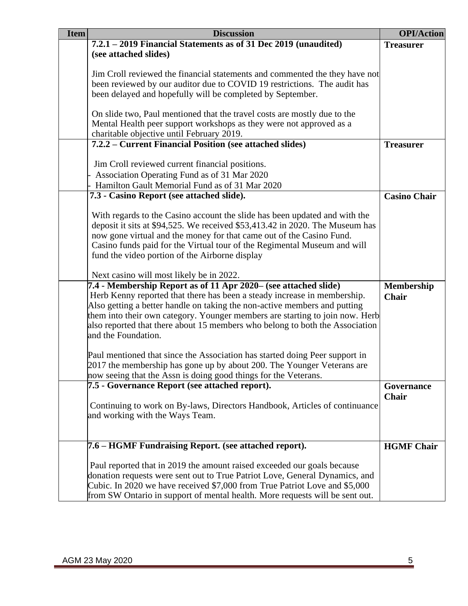| <b>Item</b> | <b>Discussion</b>                                                            | <b>OPI/Action</b>   |
|-------------|------------------------------------------------------------------------------|---------------------|
|             | 7.2.1 – 2019 Financial Statements as of 31 Dec 2019 (unaudited)              | <b>Treasurer</b>    |
|             | (see attached slides)                                                        |                     |
|             |                                                                              |                     |
|             | Jim Croll reviewed the financial statements and commented the they have not  |                     |
|             | been reviewed by our auditor due to COVID 19 restrictions. The audit has     |                     |
|             | been delayed and hopefully will be completed by September.                   |                     |
|             |                                                                              |                     |
|             | On slide two, Paul mentioned that the travel costs are mostly due to the     |                     |
|             | Mental Health peer support workshops as they were not approved as a          |                     |
|             | charitable objective until February 2019.                                    |                     |
|             | 7.2.2 – Current Financial Position (see attached slides)                     | <b>Treasurer</b>    |
|             |                                                                              |                     |
|             | Jim Croll reviewed current financial positions.                              |                     |
|             | Association Operating Fund as of 31 Mar 2020                                 |                     |
|             | Hamilton Gault Memorial Fund as of 31 Mar 2020                               |                     |
|             | 7.3 - Casino Report (see attached slide).                                    | <b>Casino Chair</b> |
|             |                                                                              |                     |
|             | With regards to the Casino account the slide has been updated and with the   |                     |
|             | deposit it sits at \$94,525. We received \$53,413.42 in 2020. The Museum has |                     |
|             | now gone virtual and the money for that came out of the Casino Fund.         |                     |
|             | Casino funds paid for the Virtual tour of the Regimental Museum and will     |                     |
|             | fund the video portion of the Airborne display                               |                     |
|             | Next casino will most likely be in 2022.                                     |                     |
|             | 7.4 - Membership Report as of 11 Apr 2020– (see attached slide)              | Membership          |
|             | Herb Kenny reported that there has been a steady increase in membership.     | <b>Chair</b>        |
|             | Also getting a better handle on taking the non-active members and putting    |                     |
|             | them into their own category. Younger members are starting to join now. Herb |                     |
|             | also reported that there about 15 members who belong to both the Association |                     |
|             | and the Foundation.                                                          |                     |
|             |                                                                              |                     |
|             | Paul mentioned that since the Association has started doing Peer support in  |                     |
|             | 2017 the membership has gone up by about 200. The Younger Veterans are       |                     |
|             | now seeing that the Assn is doing good things for the Veterans.              |                     |
|             | 7.5 - Governance Report (see attached report).                               | Governance          |
|             |                                                                              | <b>Chair</b>        |
|             | Continuing to work on By-laws, Directors Handbook, Articles of continuance   |                     |
|             | and working with the Ways Team.                                              |                     |
|             |                                                                              |                     |
|             |                                                                              |                     |
|             | 7.6 – HGMF Fundraising Report. (see attached report).                        | <b>HGMF Chair</b>   |
|             |                                                                              |                     |
|             | Paul reported that in 2019 the amount raised exceeded our goals because      |                     |
|             | donation requests were sent out to True Patriot Love, General Dynamics, and  |                     |
|             | Cubic. In 2020 we have received \$7,000 from True Patriot Love and \$5,000   |                     |
|             | from SW Ontario in support of mental health. More requests will be sent out. |                     |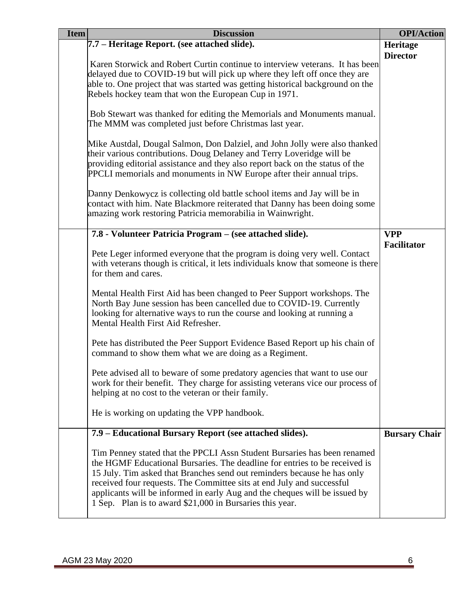| <b>Item</b><br><b>Discussion</b>                                                                                                                                                                                                                                                                                                                                                                                                                     | <b>OPI/Action</b>    |
|------------------------------------------------------------------------------------------------------------------------------------------------------------------------------------------------------------------------------------------------------------------------------------------------------------------------------------------------------------------------------------------------------------------------------------------------------|----------------------|
| 7.7 – Heritage Report. (see attached slide).                                                                                                                                                                                                                                                                                                                                                                                                         | Heritage             |
|                                                                                                                                                                                                                                                                                                                                                                                                                                                      | <b>Director</b>      |
| Karen Storwick and Robert Curtin continue to interview veterans. It has been                                                                                                                                                                                                                                                                                                                                                                         |                      |
| delayed due to COVID-19 but will pick up where they left off once they are                                                                                                                                                                                                                                                                                                                                                                           |                      |
| able to. One project that was started was getting historical background on the                                                                                                                                                                                                                                                                                                                                                                       |                      |
| Rebels hockey team that won the European Cup in 1971.                                                                                                                                                                                                                                                                                                                                                                                                |                      |
| Bob Stewart was thanked for editing the Memorials and Monuments manual.<br>The MMM was completed just before Christmas last year.                                                                                                                                                                                                                                                                                                                    |                      |
| Mike Austdal, Dougal Salmon, Don Dalziel, and John Jolly were also thanked<br>their various contributions. Doug Delaney and Terry Loveridge will be                                                                                                                                                                                                                                                                                                  |                      |
| providing editorial assistance and they also report back on the status of the<br>PPCLI memorials and monuments in NW Europe after their annual trips.                                                                                                                                                                                                                                                                                                |                      |
| Danny Denkowycz is collecting old battle school items and Jay will be in<br>contact with him. Nate Blackmore reiterated that Danny has been doing some<br>amazing work restoring Patricia memorabilia in Wainwright.                                                                                                                                                                                                                                 |                      |
| 7.8 - Volunteer Patricia Program – (see attached slide).                                                                                                                                                                                                                                                                                                                                                                                             | <b>VPP</b>           |
| Pete Leger informed everyone that the program is doing very well. Contact<br>with veterans though is critical, it lets individuals know that someone is there<br>for them and cares.                                                                                                                                                                                                                                                                 | <b>Facilitator</b>   |
| Mental Health First Aid has been changed to Peer Support workshops. The<br>North Bay June session has been cancelled due to COVID-19. Currently<br>looking for alternative ways to run the course and looking at running a<br>Mental Health First Aid Refresher.                                                                                                                                                                                     |                      |
| Pete has distributed the Peer Support Evidence Based Report up his chain of<br>command to show them what we are doing as a Regiment.                                                                                                                                                                                                                                                                                                                 |                      |
| Pete advised all to beware of some predatory agencies that want to use our<br>work for their benefit. They charge for assisting veterans vice our process of<br>helping at no cost to the veteran or their family.                                                                                                                                                                                                                                   |                      |
| He is working on updating the VPP handbook.                                                                                                                                                                                                                                                                                                                                                                                                          |                      |
| 7.9 – Educational Bursary Report (see attached slides).                                                                                                                                                                                                                                                                                                                                                                                              | <b>Bursary Chair</b> |
| Tim Penney stated that the PPCLI Assn Student Bursaries has been renamed<br>the HGMF Educational Bursaries. The deadline for entries to be received is<br>15 July. Tim asked that Branches send out reminders because he has only<br>received four requests. The Committee sits at end July and successful<br>applicants will be informed in early Aug and the cheques will be issued by<br>1 Sep. Plan is to award \$21,000 in Bursaries this year. |                      |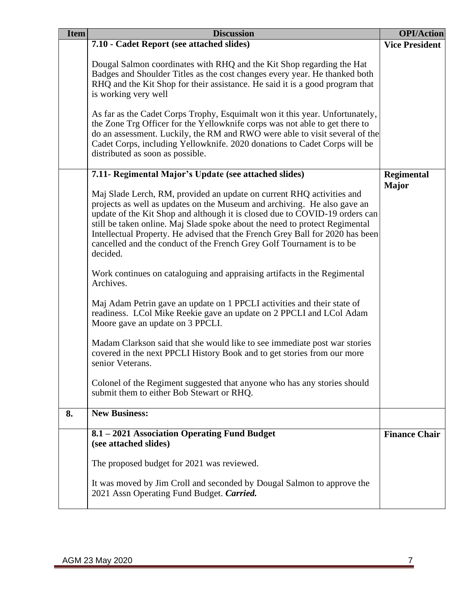| <b>Item</b> | <b>Discussion</b>                                                                                                                                                                                                                                                                                                                                                                                                                                                                     | <b>OPI/Action</b>     |
|-------------|---------------------------------------------------------------------------------------------------------------------------------------------------------------------------------------------------------------------------------------------------------------------------------------------------------------------------------------------------------------------------------------------------------------------------------------------------------------------------------------|-----------------------|
|             | 7.10 - Cadet Report (see attached slides)                                                                                                                                                                                                                                                                                                                                                                                                                                             | <b>Vice President</b> |
|             | Dougal Salmon coordinates with RHQ and the Kit Shop regarding the Hat<br>Badges and Shoulder Titles as the cost changes every year. He thanked both<br>RHQ and the Kit Shop for their assistance. He said it is a good program that<br>is working very well                                                                                                                                                                                                                           |                       |
|             | As far as the Cadet Corps Trophy, Esquimalt won it this year. Unfortunately,<br>the Zone Trg Officer for the Yellowknife corps was not able to get there to<br>do an assessment. Luckily, the RM and RWO were able to visit several of the<br>Cadet Corps, including Yellowknife. 2020 donations to Cadet Corps will be<br>distributed as soon as possible.                                                                                                                           |                       |
|             | 7.11- Regimental Major's Update (see attached slides)                                                                                                                                                                                                                                                                                                                                                                                                                                 | Regimental            |
|             | Maj Slade Lerch, RM, provided an update on current RHQ activities and<br>projects as well as updates on the Museum and archiving. He also gave an<br>update of the Kit Shop and although it is closed due to COVID-19 orders can<br>still be taken online. Maj Slade spoke about the need to protect Regimental<br>Intellectual Property. He advised that the French Grey Ball for 2020 has been<br>cancelled and the conduct of the French Grey Golf Tournament is to be<br>decided. | <b>Major</b>          |
|             | Work continues on cataloguing and appraising artifacts in the Regimental<br>Archives.                                                                                                                                                                                                                                                                                                                                                                                                 |                       |
|             | Maj Adam Petrin gave an update on 1 PPCLI activities and their state of<br>readiness. LCol Mike Reekie gave an update on 2 PPCLI and LCol Adam<br>Moore gave an update on 3 PPCLI.                                                                                                                                                                                                                                                                                                    |                       |
|             | Madam Clarkson said that she would like to see immediate post war stories<br>covered in the next PPCLI History Book and to get stories from our more<br>senior Veterans.                                                                                                                                                                                                                                                                                                              |                       |
|             | Colonel of the Regiment suggested that anyone who has any stories should<br>submit them to either Bob Stewart or RHQ.                                                                                                                                                                                                                                                                                                                                                                 |                       |
| 8.          | <b>New Business:</b>                                                                                                                                                                                                                                                                                                                                                                                                                                                                  |                       |
|             | 8.1 - 2021 Association Operating Fund Budget<br>(see attached slides)                                                                                                                                                                                                                                                                                                                                                                                                                 | <b>Finance Chair</b>  |
|             | The proposed budget for 2021 was reviewed.                                                                                                                                                                                                                                                                                                                                                                                                                                            |                       |
|             | It was moved by Jim Croll and seconded by Dougal Salmon to approve the<br>2021 Assn Operating Fund Budget. Carried.                                                                                                                                                                                                                                                                                                                                                                   |                       |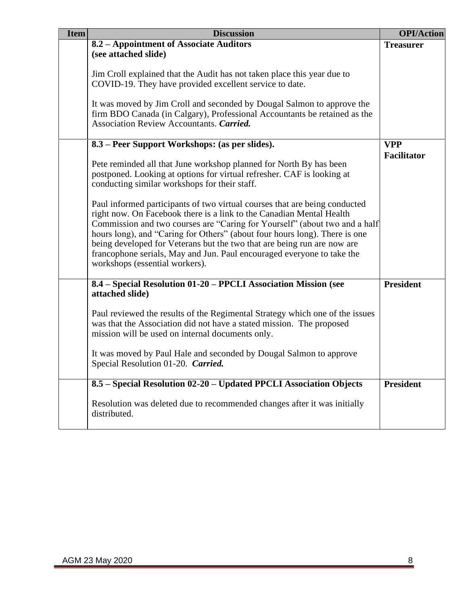| <b>Item</b> | <b>Discussion</b>                                                                                                                                                                                                                                                                                                                                                                                                                                                                                     | <b>OPI/Action</b>  |
|-------------|-------------------------------------------------------------------------------------------------------------------------------------------------------------------------------------------------------------------------------------------------------------------------------------------------------------------------------------------------------------------------------------------------------------------------------------------------------------------------------------------------------|--------------------|
|             | 8.2 - Appointment of Associate Auditors<br>(see attached slide)                                                                                                                                                                                                                                                                                                                                                                                                                                       | <b>Treasurer</b>   |
|             | Jim Croll explained that the Audit has not taken place this year due to<br>COVID-19. They have provided excellent service to date.                                                                                                                                                                                                                                                                                                                                                                    |                    |
|             | It was moved by Jim Croll and seconded by Dougal Salmon to approve the<br>firm BDO Canada (in Calgary), Professional Accountants be retained as the<br>Association Review Accountants. Carried.                                                                                                                                                                                                                                                                                                       |                    |
|             | 8.3 – Peer Support Workshops: (as per slides).                                                                                                                                                                                                                                                                                                                                                                                                                                                        | <b>VPP</b>         |
|             | Pete reminded all that June workshop planned for North By has been<br>postponed. Looking at options for virtual refresher. CAF is looking at<br>conducting similar workshops for their staff.                                                                                                                                                                                                                                                                                                         | <b>Facilitator</b> |
|             | Paul informed participants of two virtual courses that are being conducted<br>right now. On Facebook there is a link to the Canadian Mental Health<br>Commission and two courses are "Caring for Yourself" (about two and a half<br>hours long), and "Caring for Others" (about four hours long). There is one<br>being developed for Veterans but the two that are being run are now are<br>francophone serials, May and Jun. Paul encouraged everyone to take the<br>workshops (essential workers). |                    |
|             | 8.4 - Special Resolution 01-20 - PPCLI Association Mission (see<br>attached slide)                                                                                                                                                                                                                                                                                                                                                                                                                    | <b>President</b>   |
|             | Paul reviewed the results of the Regimental Strategy which one of the issues<br>was that the Association did not have a stated mission. The proposed<br>mission will be used on internal documents only.                                                                                                                                                                                                                                                                                              |                    |
|             | It was moved by Paul Hale and seconded by Dougal Salmon to approve<br>Special Resolution 01-20. Carried.                                                                                                                                                                                                                                                                                                                                                                                              |                    |
|             | 8.5 - Special Resolution 02-20 - Updated PPCLI Association Objects                                                                                                                                                                                                                                                                                                                                                                                                                                    | <b>President</b>   |
|             | Resolution was deleted due to recommended changes after it was initially<br>distributed.                                                                                                                                                                                                                                                                                                                                                                                                              |                    |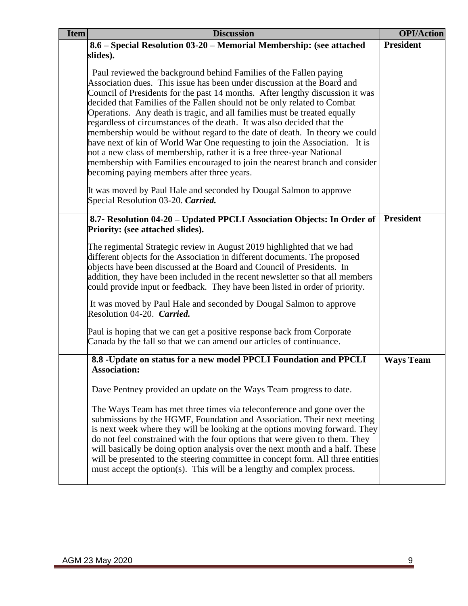| <b>Item</b> | <b>Discussion</b>                                                                                                                                                                                                                                                                                                                                                                                                                                                                                                                                                                                                                                                                                                                                                                                                                     | <b>OPI/Action</b> |
|-------------|---------------------------------------------------------------------------------------------------------------------------------------------------------------------------------------------------------------------------------------------------------------------------------------------------------------------------------------------------------------------------------------------------------------------------------------------------------------------------------------------------------------------------------------------------------------------------------------------------------------------------------------------------------------------------------------------------------------------------------------------------------------------------------------------------------------------------------------|-------------------|
|             | 8.6 – Special Resolution 03-20 – Memorial Membership: (see attached                                                                                                                                                                                                                                                                                                                                                                                                                                                                                                                                                                                                                                                                                                                                                                   | <b>President</b>  |
|             | slides).                                                                                                                                                                                                                                                                                                                                                                                                                                                                                                                                                                                                                                                                                                                                                                                                                              |                   |
|             | Paul reviewed the background behind Families of the Fallen paying<br>Association dues. This issue has been under discussion at the Board and<br>Council of Presidents for the past 14 months. After lengthy discussion it was<br>decided that Families of the Fallen should not be only related to Combat<br>Operations. Any death is tragic, and all families must be treated equally<br>regardless of circumstances of the death. It was also decided that the<br>membership would be without regard to the date of death. In theory we could<br>have next of kin of World War One requesting to join the Association. It is<br>not a new class of membership, rather it is a free three-year National<br>membership with Families encouraged to join the nearest branch and consider<br>becoming paying members after three years. |                   |
|             | It was moved by Paul Hale and seconded by Dougal Salmon to approve<br>Special Resolution 03-20. Carried.                                                                                                                                                                                                                                                                                                                                                                                                                                                                                                                                                                                                                                                                                                                              |                   |
|             | 8.7- Resolution 04-20 – Updated PPCLI Association Objects: In Order of<br><b>Priority: (see attached slides).</b>                                                                                                                                                                                                                                                                                                                                                                                                                                                                                                                                                                                                                                                                                                                     | <b>President</b>  |
|             | The regimental Strategic review in August 2019 highlighted that we had<br>different objects for the Association in different documents. The proposed<br>objects have been discussed at the Board and Council of Presidents. In<br>addition, they have been included in the recent newsletter so that all members<br>could provide input or feedback. They have been listed in order of priority.                                                                                                                                                                                                                                                                                                                                                                                                                                      |                   |
|             | It was moved by Paul Hale and seconded by Dougal Salmon to approve<br>Resolution 04-20. Carried.                                                                                                                                                                                                                                                                                                                                                                                                                                                                                                                                                                                                                                                                                                                                      |                   |
|             | Paul is hoping that we can get a positive response back from Corporate<br>Canada by the fall so that we can amend our articles of continuance.                                                                                                                                                                                                                                                                                                                                                                                                                                                                                                                                                                                                                                                                                        |                   |
|             | 8.8 -Update on status for a new model PPCLI Foundation and PPCLI<br><b>Association:</b>                                                                                                                                                                                                                                                                                                                                                                                                                                                                                                                                                                                                                                                                                                                                               | <b>Ways Team</b>  |
|             | Dave Pentney provided an update on the Ways Team progress to date.                                                                                                                                                                                                                                                                                                                                                                                                                                                                                                                                                                                                                                                                                                                                                                    |                   |
|             | The Ways Team has met three times via teleconference and gone over the<br>submissions by the HGMF, Foundation and Association. Their next meeting<br>is next week where they will be looking at the options moving forward. They<br>do not feel constrained with the four options that were given to them. They<br>will basically be doing option analysis over the next month and a half. These<br>will be presented to the steering committee in concept form. All three entities<br>must accept the option(s). This will be a lengthy and complex process.                                                                                                                                                                                                                                                                         |                   |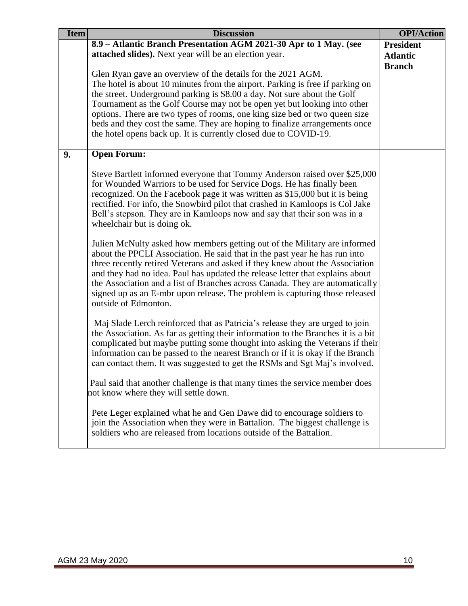| <b>Item</b> | <b>Discussion</b>                                                                                                                                                                                                                                                                                                                                                                                                                                                                                               | <b>OPI/Action</b>                |
|-------------|-----------------------------------------------------------------------------------------------------------------------------------------------------------------------------------------------------------------------------------------------------------------------------------------------------------------------------------------------------------------------------------------------------------------------------------------------------------------------------------------------------------------|----------------------------------|
|             | 8.9 – Atlantic Branch Presentation AGM 2021-30 Apr to 1 May. (see                                                                                                                                                                                                                                                                                                                                                                                                                                               | <b>President</b>                 |
|             | attached slides). Next year will be an election year.                                                                                                                                                                                                                                                                                                                                                                                                                                                           | <b>Atlantic</b><br><b>Branch</b> |
|             | Glen Ryan gave an overview of the details for the 2021 AGM.                                                                                                                                                                                                                                                                                                                                                                                                                                                     |                                  |
|             | The hotel is about 10 minutes from the airport. Parking is free if parking on                                                                                                                                                                                                                                                                                                                                                                                                                                   |                                  |
|             | the street. Underground parking is \$8.00 a day. Not sure about the Golf                                                                                                                                                                                                                                                                                                                                                                                                                                        |                                  |
|             | Tournament as the Golf Course may not be open yet but looking into other                                                                                                                                                                                                                                                                                                                                                                                                                                        |                                  |
|             | options. There are two types of rooms, one king size bed or two queen size                                                                                                                                                                                                                                                                                                                                                                                                                                      |                                  |
|             | beds and they cost the same. They are hoping to finalize arrangements once                                                                                                                                                                                                                                                                                                                                                                                                                                      |                                  |
|             | the hotel opens back up. It is currently closed due to COVID-19.                                                                                                                                                                                                                                                                                                                                                                                                                                                |                                  |
| 9.          | <b>Open Forum:</b>                                                                                                                                                                                                                                                                                                                                                                                                                                                                                              |                                  |
|             | Steve Bartlett informed everyone that Tommy Anderson raised over \$25,000<br>for Wounded Warriors to be used for Service Dogs. He has finally been<br>recognized. On the Facebook page it was written as \$15,000 but it is being<br>rectified. For info, the Snowbird pilot that crashed in Kamloops is Col Jake<br>Bell's stepson. They are in Kamloops now and say that their son was in a<br>wheelchair but is doing ok.                                                                                    |                                  |
|             | Julien McNulty asked how members getting out of the Military are informed<br>about the PPCLI Association. He said that in the past year he has run into<br>three recently retired Veterans and asked if they knew about the Association<br>and they had no idea. Paul has updated the release letter that explains about<br>the Association and a list of Branches across Canada. They are automatically<br>signed up as an E-mbr upon release. The problem is capturing those released<br>outside of Edmonton. |                                  |
|             | Maj Slade Lerch reinforced that as Patricia's release they are urged to join<br>the Association. As far as getting their information to the Branches it is a bit<br>complicated but maybe putting some thought into asking the Veterans if their<br>information can be passed to the nearest Branch or if it is okay if the Branch<br>can contact them. It was suggested to get the RSMs and Sgt Maj's involved.                                                                                                |                                  |
|             | Paul said that another challenge is that many times the service member does<br>not know where they will settle down.                                                                                                                                                                                                                                                                                                                                                                                            |                                  |
|             | Pete Leger explained what he and Gen Dawe did to encourage soldiers to<br>join the Association when they were in Battalion. The biggest challenge is<br>soldiers who are released from locations outside of the Battalion.                                                                                                                                                                                                                                                                                      |                                  |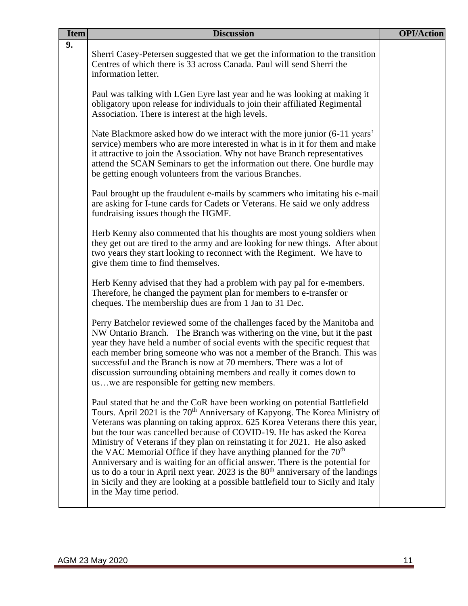| <b>Item</b> | <b>Discussion</b>                                                                                                                                                                                                                                                                                                                                                                                                                                                                                                                                                                                                                                                                                                                                                                      | <b>OPI/Action</b> |
|-------------|----------------------------------------------------------------------------------------------------------------------------------------------------------------------------------------------------------------------------------------------------------------------------------------------------------------------------------------------------------------------------------------------------------------------------------------------------------------------------------------------------------------------------------------------------------------------------------------------------------------------------------------------------------------------------------------------------------------------------------------------------------------------------------------|-------------------|
| 9.          | Sherri Casey-Petersen suggested that we get the information to the transition<br>Centres of which there is 33 across Canada. Paul will send Sherri the<br>information letter.                                                                                                                                                                                                                                                                                                                                                                                                                                                                                                                                                                                                          |                   |
|             | Paul was talking with LGen Eyre last year and he was looking at making it<br>obligatory upon release for individuals to join their affiliated Regimental<br>Association. There is interest at the high levels.                                                                                                                                                                                                                                                                                                                                                                                                                                                                                                                                                                         |                   |
|             | Nate Blackmore asked how do we interact with the more junior (6-11 years'<br>service) members who are more interested in what is in it for them and make<br>it attractive to join the Association. Why not have Branch representatives<br>attend the SCAN Seminars to get the information out there. One hurdle may<br>be getting enough volunteers from the various Branches.                                                                                                                                                                                                                                                                                                                                                                                                         |                   |
|             | Paul brought up the fraudulent e-mails by scammers who imitating his e-mail<br>are asking for I-tune cards for Cadets or Veterans. He said we only address<br>fundraising issues though the HGMF.                                                                                                                                                                                                                                                                                                                                                                                                                                                                                                                                                                                      |                   |
|             | Herb Kenny also commented that his thoughts are most young soldiers when<br>they get out are tired to the army and are looking for new things. After about<br>two years they start looking to reconnect with the Regiment. We have to<br>give them time to find themselves.                                                                                                                                                                                                                                                                                                                                                                                                                                                                                                            |                   |
|             | Herb Kenny advised that they had a problem with pay pal for e-members.<br>Therefore, he changed the payment plan for members to e-transfer or<br>cheques. The membership dues are from 1 Jan to 31 Dec.                                                                                                                                                                                                                                                                                                                                                                                                                                                                                                                                                                                |                   |
|             | Perry Batchelor reviewed some of the challenges faced by the Manitoba and<br>NW Ontario Branch. The Branch was withering on the vine, but it the past<br>year they have held a number of social events with the specific request that<br>each member bring someone who was not a member of the Branch. This was<br>successful and the Branch is now at 70 members. There was a lot of<br>discussion surrounding obtaining members and really it comes down to<br>uswe are responsible for getting new members.                                                                                                                                                                                                                                                                         |                   |
|             | Paul stated that he and the CoR have been working on potential Battlefield<br>Tours. April 2021 is the 70 <sup>th</sup> Anniversary of Kapyong. The Korea Ministry of<br>Veterans was planning on taking approx. 625 Korea Veterans there this year,<br>but the tour was cancelled because of COVID-19. He has asked the Korea<br>Ministry of Veterans if they plan on reinstating it for 2021. He also asked<br>the VAC Memorial Office if they have anything planned for the $70th$<br>Anniversary and is waiting for an official answer. There is the potential for<br>us to do a tour in April next year. 2023 is the 80 <sup>th</sup> anniversary of the landings<br>in Sicily and they are looking at a possible battlefield tour to Sicily and Italy<br>in the May time period. |                   |
|             |                                                                                                                                                                                                                                                                                                                                                                                                                                                                                                                                                                                                                                                                                                                                                                                        |                   |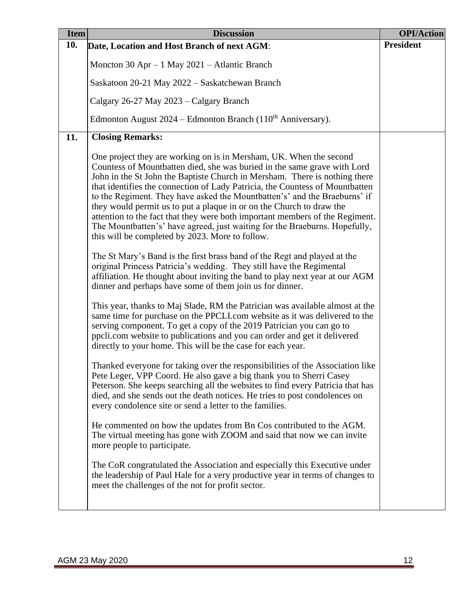| <b>Item</b> | <b>Discussion</b>                                                                                                                                                                                                                                                                                                                                                                                                                                                                                                                                                                                                                                                                  | <b>OPI/Action</b> |
|-------------|------------------------------------------------------------------------------------------------------------------------------------------------------------------------------------------------------------------------------------------------------------------------------------------------------------------------------------------------------------------------------------------------------------------------------------------------------------------------------------------------------------------------------------------------------------------------------------------------------------------------------------------------------------------------------------|-------------------|
| 10.         | Date, Location and Host Branch of next AGM:                                                                                                                                                                                                                                                                                                                                                                                                                                                                                                                                                                                                                                        | <b>President</b>  |
|             | Moncton 30 Apr $-1$ May 2021 – Atlantic Branch                                                                                                                                                                                                                                                                                                                                                                                                                                                                                                                                                                                                                                     |                   |
|             | Saskatoon 20-21 May 2022 – Saskatchewan Branch                                                                                                                                                                                                                                                                                                                                                                                                                                                                                                                                                                                                                                     |                   |
|             | Calgary 26-27 May 2023 – Calgary Branch                                                                                                                                                                                                                                                                                                                                                                                                                                                                                                                                                                                                                                            |                   |
|             | Edmonton August 2024 – Edmonton Branch (110 <sup>th</sup> Anniversary).                                                                                                                                                                                                                                                                                                                                                                                                                                                                                                                                                                                                            |                   |
| 11.         | <b>Closing Remarks:</b>                                                                                                                                                                                                                                                                                                                                                                                                                                                                                                                                                                                                                                                            |                   |
|             | One project they are working on is in Mersham, UK. When the second<br>Countess of Mountbatten died, she was buried in the same grave with Lord<br>John in the St John the Baptiste Church in Mersham. There is nothing there<br>that identifies the connection of Lady Patricia, the Countess of Mountbatten<br>to the Regiment. They have asked the Mountbatten's' and the Braeburns' if<br>they would permit us to put a plaque in or on the Church to draw the<br>attention to the fact that they were both important members of the Regiment.<br>The Mountbatten's' have agreed, just waiting for the Braeburns. Hopefully,<br>this will be completed by 2023. More to follow. |                   |
|             | The St Mary's Band is the first brass band of the Regt and played at the<br>original Princess Patricia's wedding. They still have the Regimental<br>affiliation. He thought about inviting the band to play next year at our AGM<br>dinner and perhaps have some of them join us for dinner.                                                                                                                                                                                                                                                                                                                                                                                       |                   |
|             | This year, thanks to Maj Slade, RM the Patrician was available almost at the<br>same time for purchase on the PPCLI.com website as it was delivered to the<br>serving component. To get a copy of the 2019 Patrician you can go to<br>ppcli.com website to publications and you can order and get it delivered<br>directly to your home. This will be the case for each year.                                                                                                                                                                                                                                                                                                      |                   |
|             | Thanked everyone for taking over the responsibilities of the Association like<br>Pete Leger, VPP Coord. He also gave a big thank you to Sherri Casey<br>Peterson. She keeps searching all the websites to find every Patricia that has<br>died, and she sends out the death notices. He tries to post condolences on<br>every condolence site or send a letter to the families.                                                                                                                                                                                                                                                                                                    |                   |
|             | He commented on how the updates from Bn Cos contributed to the AGM.<br>The virtual meeting has gone with ZOOM and said that now we can invite<br>more people to participate.                                                                                                                                                                                                                                                                                                                                                                                                                                                                                                       |                   |
|             | The CoR congratulated the Association and especially this Executive under<br>the leadership of Paul Hale for a very productive year in terms of changes to<br>meet the challenges of the not for profit sector.                                                                                                                                                                                                                                                                                                                                                                                                                                                                    |                   |
|             |                                                                                                                                                                                                                                                                                                                                                                                                                                                                                                                                                                                                                                                                                    |                   |